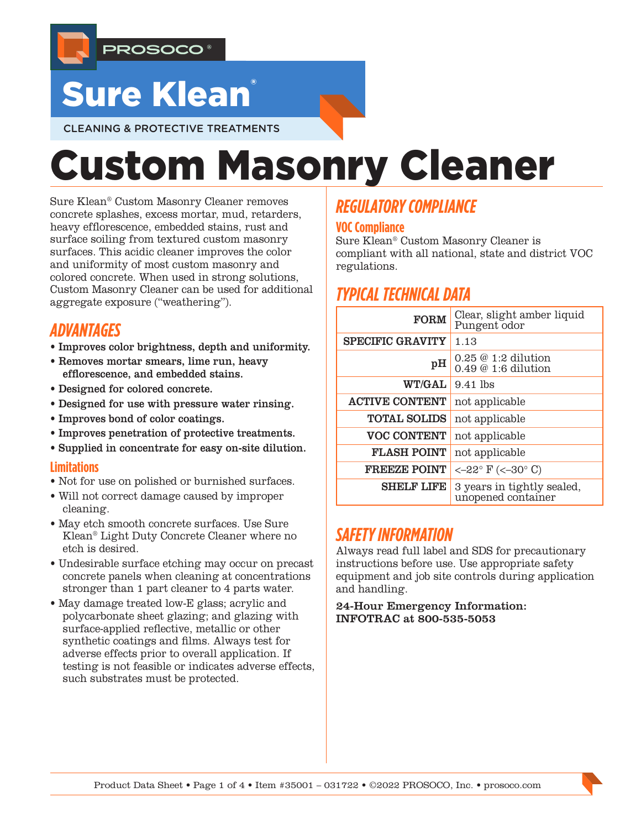

# **Sure Klean**

CLEANING & PROTECTIVE TREATMENTS

# Custom Masonry Cleaner

Sure Klean® Custom Masonry Cleaner removes concrete splashes, excess mortar, mud, retarders, heavy efflorescence, embedded stains, rust and surface soiling from textured custom masonry surfaces. This acidic cleaner improves the color and uniformity of most custom masonry and colored concrete. When used in strong solutions, Custom Masonry Cleaner can be used for additional aggregate exposure ("weathering").

# *ADVANTAGES*

- Improves color brightness, depth and uniformity.
- Removes mortar smears, lime run, heavy efflorescence, and embedded stains.
- Designed for colored concrete.
- Designed for use with pressure water rinsing.
- Improves bond of color coatings.
- Improves penetration of protective treatments.
- Supplied in concentrate for easy on-site dilution.

#### **Limitations**

- Not for use on polished or burnished surfaces.
- Will not correct damage caused by improper cleaning.
- May etch smooth concrete surfaces. Use Sure Klean® Light Duty Concrete Cleaner where no etch is desired.
- Undesirable surface etching may occur on precast concrete panels when cleaning at concentrations stronger than 1 part cleaner to 4 parts water.
- May damage treated low-E glass; acrylic and polycarbonate sheet glazing; and glazing with surface-applied reflective, metallic or other synthetic coatings and films. Always test for adverse effects prior to overall application. If testing is not feasible or indicates adverse effects, such substrates must be protected.

# *REGULATORY COMPLIANCE*

## **VOC Compliance**

Sure Klean® Custom Masonry Cleaner is compliant with all national, state and district VOC regulations.

# *TYPICAL TECHNICAL DATA*

| <b>FORM</b>             | Clear, slight amber liquid<br>Pungent odor       |  |  |
|-------------------------|--------------------------------------------------|--|--|
| <b>SPECIFIC GRAVITY</b> | 1.13                                             |  |  |
| pН                      | $0.25 \& 1:2$ dilution<br>$0.49@1:6$ dilution    |  |  |
| <b>WT/GAL</b>           | $9.41$ lbs                                       |  |  |
| <b>ACTIVE CONTENT</b>   | not applicable                                   |  |  |
| <b>TOTAL SOLIDS</b>     | not applicable                                   |  |  |
| <b>VOC CONTENT</b>      | not applicable                                   |  |  |
| <b>FLASH POINT</b>      | not applicable                                   |  |  |
| <b>FREEZE POINT</b>     | <-22° $F$ (<-30° C)                              |  |  |
| <b>SHELF LIFE</b>       | 3 years in tightly sealed,<br>unopened container |  |  |

# *SAFETY INFORMATION*

Always read full label and SDS for precautionary instructions before use. Use appropriate safety equipment and job site controls during application and handling.

24-Hour Emergency Information: INFOTRAC at 800-535-5053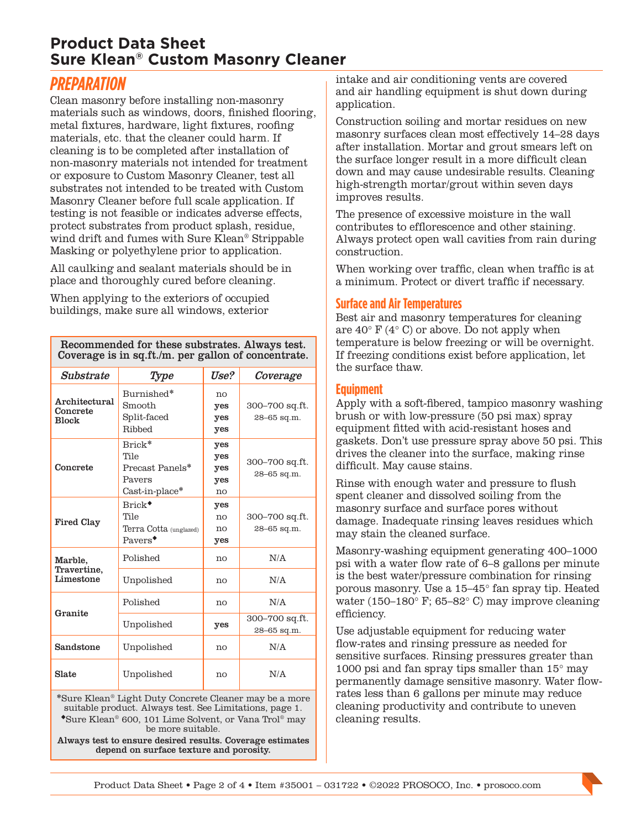## **Product Data Sheet Sure Klean® Custom Masonry Cleaner**

# *PREPARATION*

Clean masonry before installing non-masonry materials such as windows, doors, finished flooring, metal fixtures, hardware, light fixtures, roofing materials, etc. that the cleaner could harm. If cleaning is to be completed after installation of non-masonry materials not intended for treatment or exposure to Custom Masonry Cleaner, test all substrates not intended to be treated with Custom Masonry Cleaner before full scale application. If testing is not feasible or indicates adverse effects, protect substrates from product splash, residue, wind drift and fumes with Sure Klean® Strippable Masking or polyethylene prior to application.

All caulking and sealant materials should be in place and thoroughly cured before cleaning.

When applying to the exteriors of occupied buildings, make sure all windows, exterior

Recommended for these substrates. Always test. Coverage is in sq.ft./m. per gallon of concentrate.

| Substrate                                 | Type                                                            | Use?                           | Coverage                          |
|-------------------------------------------|-----------------------------------------------------------------|--------------------------------|-----------------------------------|
| Architectural<br>Concrete<br><b>Block</b> | Burnished*<br>Smooth<br>Split-faced<br>Ribbed                   | no<br>yes<br>yes<br>yes        | 300–700 sq.ft.<br>$28 - 65$ sq.m. |
| Concrete                                  | Brick*<br>Tile<br>Precast Panels*<br>Payers<br>$Cast-in-place*$ | yes<br>yes<br>yes<br>yes<br>no | 300–700 sq.ft.<br>28-65 sq.m.     |
| Fired Clay                                | $Brick^*$<br>Tile<br>Terra Cotta (unglazed)<br>$Pavers^*$       | yes<br>no<br>no<br>yes         | 300–700 sq.ft.<br>$28 - 65$ sq.m. |
| Marble,<br>Travertine,<br>Limestone       | Polished                                                        | no                             | N/A                               |
|                                           | Unpolished                                                      | no                             | N/A                               |
| Granite                                   | Polished                                                        | no                             | N/A                               |
|                                           | Unpolished                                                      | yes                            | 300-700 sq.ft.<br>28-65 sq.m.     |
| Sandstone                                 | Unpolished                                                      | no                             | N/A                               |
| Slate                                     | Unpolished                                                      | no                             | N/A                               |

\*Sure Klean® Light Duty Concrete Cleaner may be a more suitable product. Always test. See Limitations, page 1. Sure Klean® 600, 101 Lime Solvent, or Vana Trol® may be more suitable.

Always test to ensure desired results. Coverage estimates depend on surface texture and porosity.

intake and air conditioning vents are covered and air handling equipment is shut down during application.

Construction soiling and mortar residues on new masonry surfaces clean most effectively 14–28 days after installation. Mortar and grout smears left on the surface longer result in a more difficult clean down and may cause undesirable results. Cleaning high-strength mortar/grout within seven days improves results.

The presence of excessive moisture in the wall contributes to efflorescence and other staining. Always protect open wall cavities from rain during construction.

When working over traffic, clean when traffic is at a minimum. Protect or divert traffic if necessary.

### **Surface and Air Temperatures**

Best air and masonry temperatures for cleaning are  $40^{\circ}$  F ( $4^{\circ}$  C) or above. Do not apply when temperature is below freezing or will be overnight. If freezing conditions exist before application, let the surface thaw.

### **Equipment**

Apply with a soft-fibered, tampico masonry washing brush or with low-pressure (50 psi max) spray equipment fitted with acid-resistant hoses and gaskets. Don't use pressure spray above 50 psi. This drives the cleaner into the surface, making rinse difficult. May cause stains.

Rinse with enough water and pressure to flush spent cleaner and dissolved soiling from the masonry surface and surface pores without damage. Inadequate rinsing leaves residues which may stain the cleaned surface.

Masonry-washing equipment generating 400–1000 psi with a water flow rate of 6–8 gallons per minute is the best water/pressure combination for rinsing porous masonry. Use a 15–45° fan spray tip. Heated water (150–180° F; 65–82° C) may improve cleaning efficiency.

Use adjustable equipment for reducing water flow-rates and rinsing pressure as needed for sensitive surfaces. Rinsing pressures greater than 1000 psi and fan spray tips smaller than 15° may permanently damage sensitive masonry. Water flowrates less than 6 gallons per minute may reduce cleaning productivity and contribute to uneven cleaning results.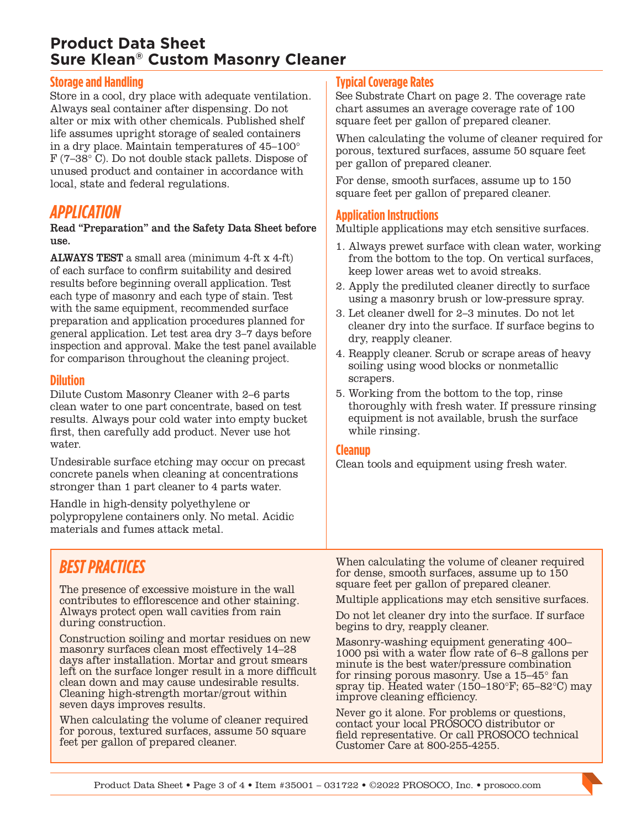## **Product Data Sheet Sure Klean® Custom Masonry Cleaner**

### **Storage and Handling**

Store in a cool, dry place with adequate ventilation. Always seal container after dispensing. Do not alter or mix with other chemicals. Published shelf life assumes upright storage of sealed containers in a dry place. Maintain temperatures of 45–100° F (7–38° C). Do not double stack pallets. Dispose of unused product and container in accordance with local, state and federal regulations.

## *APPLICATION*

Read "Preparation" and the Safety Data Sheet before use.

ALWAYS TEST a small area (minimum 4-ft x 4-ft) of each surface to confirm suitability and desired results before beginning overall application. Test each type of masonry and each type of stain. Test with the same equipment, recommended surface preparation and application procedures planned for general application. Let test area dry 3–7 days before inspection and approval. Make the test panel available for comparison throughout the cleaning project.

#### **Dilution**

Dilute Custom Masonry Cleaner with 2–6 parts clean water to one part concentrate, based on test results. Always pour cold water into empty bucket first, then carefully add product. Never use hot water.

Undesirable surface etching may occur on precast concrete panels when cleaning at concentrations stronger than 1 part cleaner to 4 parts water.

Handle in high-density polyethylene or polypropylene containers only. No metal. Acidic materials and fumes attack metal.

# *BEST PRACTICES*

The presence of excessive moisture in the wall contributes to efflorescence and other staining. Always protect open wall cavities from rain during construction.

Construction soiling and mortar residues on new masonry surfaces clean most effectively 14–28 days after installation. Mortar and grout smears left on the surface longer result in a more difficult clean down and may cause undesirable results. Cleaning high-strength mortar/grout within seven days improves results.

When calculating the volume of cleaner required for porous, textured surfaces, assume 50 square feet per gallon of prepared cleaner.

## **Typical Coverage Rates**

See Substrate Chart on page 2. The coverage rate chart assumes an average coverage rate of 100 square feet per gallon of prepared cleaner.

When calculating the volume of cleaner required for porous, textured surfaces, assume 50 square feet per gallon of prepared cleaner.

For dense, smooth surfaces, assume up to 150 square feet per gallon of prepared cleaner.

## **Application Instructions**

Multiple applications may etch sensitive surfaces.

- 1. Always prewet surface with clean water, working from the bottom to the top. On vertical surfaces, keep lower areas wet to avoid streaks.
- 2. Apply the prediluted cleaner directly to surface using a masonry brush or low-pressure spray.
- 3. Let cleaner dwell for 2–3 minutes. Do not let cleaner dry into the surface. If surface begins to dry, reapply cleaner.
- 4. Reapply cleaner. Scrub or scrape areas of heavy soiling using wood blocks or nonmetallic scrapers.
- 5. Working from the bottom to the top, rinse thoroughly with fresh water. If pressure rinsing equipment is not available, brush the surface while rinsing.

#### **Cleanup**

Clean tools and equipment using fresh water.

When calculating the volume of cleaner required for dense, smooth surfaces, assume up to 150 square feet per gallon of prepared cleaner.

Multiple applications may etch sensitive surfaces.

Do not let cleaner dry into the surface. If surface begins to dry, reapply cleaner.

Masonry-washing equipment generating 400– 1000 psi with a water flow rate of 6–8 gallons per minute is the best water/pressure combination for rinsing porous masonry. Use a 15–45° fan spray tip. Heated water (150–180°F; 65–82°C) may improve cleaning efficiency.

Never go it alone. For problems or questions, contact your local PROSOCO distributor or field representative. Or call PROSOCO technical Customer Care at 800-255-4255.